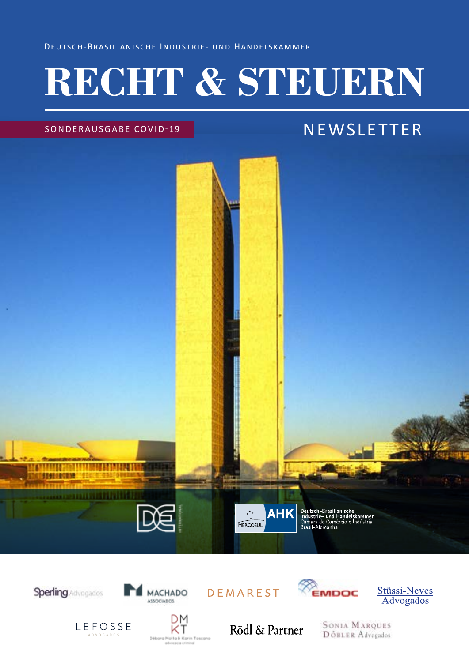Deutsch-Brasilianische Industrie- und Handelskammer

# **RECHT & STEUERN**

### SONDERAUSGABE COVID-19

## **NEWSLETTER**



**Sperling** Advogados



DEMAREST



Stüssi-Neves **Advogados** 

LEFOSSE

ΚT

DМ

Rödl & Partner

**SONIA MARQUES** DOBLER Advogados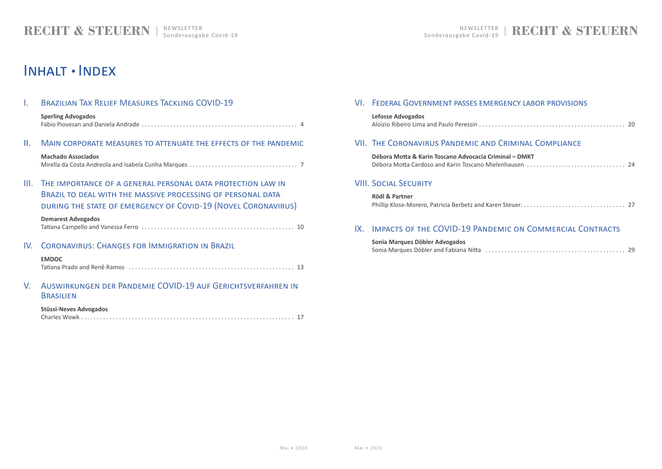| CRIMINAL COMPLIANCE                |  |
|------------------------------------|--|
| inal - DMKT                        |  |
|                                    |  |
| <b>MIC ON COMMERCIAL CONTRACTS</b> |  |

|--|--|

## I. [Brazilian Tax Relief Measures Tackling COVID-19](#page-2-0)

| <b>Sperling Advogados</b> |  |
|---------------------------|--|
|                           |  |

## II. [Main corporate measures to attenuate the effects of the pandemic](#page-3-0)

## **[Machado Associados](#page-3-0)**

[Mirella da Costa Andreola and Isabela Cunha Marques. . . 7](#page-3-0)

III. [The importance of a general personal data protection law in](#page-5-0)  BRAZIL TO DEAL WITH THE MASSIVE PROCESSING OF PERSONAL DATA [during the state of emergency of Covid-19 \(Novel Coronavirus\)](#page-5-0) **[Lefosse Advogados](#page-10-0)** Aloizio Ribeiro Lima and Paulo Peressin . . . . . . .

## VII. THE CORONAVIRUS PANDEMIC AND C

**Débora Motta & Karin Toscano Advocacia Criminal** Débora Motta Cardoso and Karin Toscano Miele

### **[Demarest Advogados](#page-5-0)**

 **[Rödl](#page-13-0) & Partner** Phillip Klose-Morero, Patricia Berbetz and Karer

## IX. IMPACTS OF THE COVID-19 PANDEM

## IV. [Coronavirus: Changes for Immigration in Brazil](#page-6-0)

## **[Sonia Marques Döbler Advogados](#page-14-0)** Sonia Marques Döbler and Fabiana Nitta . . . . .

### **[EMDOC](#page-6-0)** [Tatiana Prado and Renê Ramos . . 13](#page-6-0)

## V. [Auswirkungen der Pandemie COVID-19 auf Gerichtsverfahren in](#page-8-0)  [Brasilien](#page-8-0)

### **[Stüssi-Neves Advogados](#page-8-0)**

| Charles |  |
|---------|--|
|---------|--|

## VI. [Federal Government passes emergency labor provisions](#page-10-0)

## VIII. [Social Security](#page-13-0)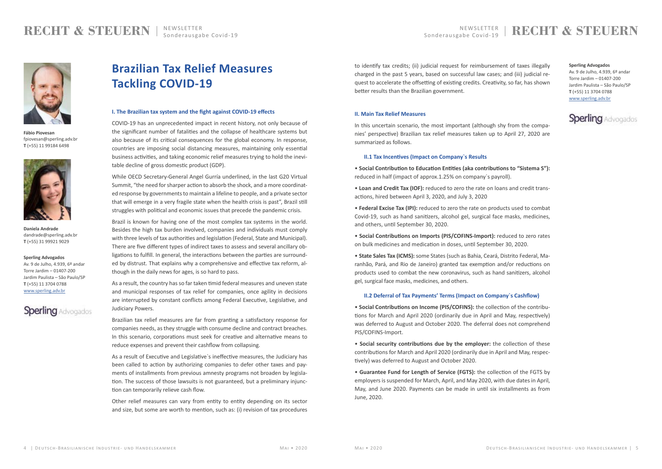## NEWSLETTER RECHT & STEUERN

## **Brazilian Tax Relief Measures Tackling COVID-19**

#### **I. The Brazilian tax system and the fight against COVID-19 effects**

COVID-19 has an unprecedented impact in recent history, not only because of the significant number of fatalities and the collapse of healthcare systems but also because of its critical consequences for the global economy. In response, countries are imposing social distancing measures, maintaining only essential business activities, and taking economic relief measures trying to hold the inevitable decline of gross domestic product (GDP).

While OECD Secretary-General Angel Gurría underlined, in the last G20 Virtual Summit, "the need for sharper action to absorb the shock, and a more coordinated response by governments to maintain a lifeline to people, and a private sector that will emerge in a very fragile state when the health crisis is past", Brazil still struggles with political and economic issues that precede the pandemic crisis.

Brazil is known for having one of the most complex tax systems in the world. Besides the high tax burden involved, companies and individuals must comply with three levels of tax authorities and legislation (Federal, State and Municipal). There are five different types of indirect taxes to assess and several ancillary obligations to fulfill. In general, the interactions between the parties are surrounded by distrust. That explains why a comprehensive and effective tax reform, although in the daily news for ages, is so hard to pass.

As a result, the country has so far taken timid federal measures and uneven state and municipal responses of tax relief for companies, once agility in decisions are interrupted by constant conflicts among Federal Executive, Legislative, and Judiciary Powers.

Brazilian tax relief measures are far from granting a satisfactory response for companies needs, as they struggle with consume decline and contract breaches. In this scenario, corporations must seek for creative and alternative means to reduce expenses and prevent their cashflow from collapsing.

As a result of Executive and Legislative`s ineffective measures, the Judiciary has been called to action by authorizing companies to defer other taxes and payments of installments from previous amnesty programs not broaden by legislation. The success of those lawsuits is not guaranteed, but a preliminary injunction can temporarily relieve cash flow.

Other relief measures can vary from entity to entity depending on its sector and size, but some are worth to mention, such as: (i) revision of tax procedures

to identify tax credits; (ii) judicial request for reimbursement of taxes illegally charged in the past 5 years, based on successful law cases; and (iii) judicial request to accelerate the offsetting of existing credits. Creativity, so far, has shown better results than the Brazilian government.

## **II. Main Tax Relief Measures**

In this uncertain scenario, the most important (although shy from the companies' perspective) Brazilian tax relief measures taken up to April 27, 2020 are summarized as follows.

### **II.1 Tax Incentives (Impact on Company`s Results**

- **Social Contribution to Education Entities (aka contributions to "Sistema S"):** reduced in half (impact of approx.1.25% on company`s payroll).
- **Loan and Credit Tax (IOF):** reduced to zero the rate on loans and credit transactions, hired between April 3, 2020, and July 3, 2020
- **Federal Excise Tax (IPI):** reduced to zero the rate on products used to combat Covid-19, such as hand sanitizers, alcohol gel, surgical face masks, medicines, and others, until September 30, 2020.
- **Social Contributions on Imports (PIS/COFINS-Import):** reduced to zero rates on bulk medicines and medication in doses, until September 30, 2020.
- **State Sales Tax (ICMS):** some States (such as Bahia, Ceará, Distrito Federal, Maranhão, Pará, and Rio de Janeiro) granted tax exemption and/or reductions on products used to combat the new coronavirus, such as hand sanitizers, alcohol gel, surgical face masks, medicines, and others.

## **II.2 Deferral of Tax Payments' Terms (Impact on Company`s Cashflow)**

- **Social Contributions on Income (PIS/COFINS):** the collection of the contributions for March and April 2020 (ordinarily due in April and May, respectively) was deferred to August and October 2020. The deferral does not comprehend PIS/COFINS-Import.
- **Social security contributions due by the employer:** the collection of these contributions for March and April 2020 (ordinarily due in April and May, respectively) was deferred to August and October 2020.

• **Guarantee Fund for Length of Service (FGTS):** the collection of the FGTS by employers is suspended for March, April, and May 2020, with due dates in April, May, and June 2020. Payments can be made in until six installments as from June, 2020.

#### **Sperling Advogados**

Av. 9 de Julho, 4.939, 6º andar Torre Jardim – 01407-200 Jardim Paulista – São Paulo/SP **T** (+55) 11 3704 0788 [www.sperling.adv.br](https://sperling.adv.br/)



**Sperling Advogados** Av. 9 de Julho, 4.939, 6º andar Torre Jardim – 01407-200 Jardim Paulista – São Paulo/SP **T** (+55) 11 3704 0788 [www.sperling.adv.br](https://sperling.adv.br/)



<span id="page-2-0"></span>

**Fábio Piovesan** fpiovesan@sperling.adv.br **T** (+55) 11 99184 6498



**Daniela Andrade** dandrade@sperling.adv.br **T** (+55) 31 99921 9029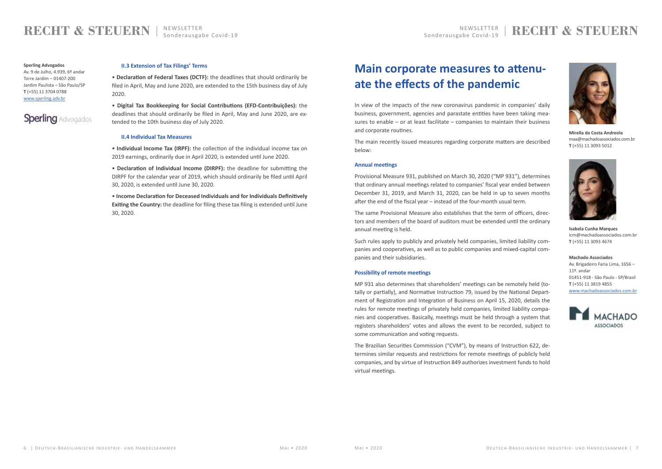## <span id="page-3-0"></span>**RECHT & STEUERN**

#### **II.3 Extension of Tax Filings' Terms**

• **Declaration of Federal Taxes (DCTF):** the deadlines that should ordinarily be filed in April, May and June 2020, are extended to the 15th business day of July 2020.

• **Digital Tax Bookkeeping for Social Contributions (EFD-Contribuições):** the deadlines that should ordinarily be filed in April, May and June 2020, are extended to the 10th business day of July 2020.

#### **II.4 Individual Tax Measures**

• **Individual Income Tax (IRPF):** the collection of the individual income tax on 2019 earnings, ordinarily due in April 2020, is extended until June 2020.

• **Declaration of Individual Income (DIRPF):** the deadline for submitting the DIRPF for the calendar year of 2019, which should ordinarily be filed until April 30, 2020, is extended until June 30, 2020.

• **Income Declaration for Deceased Individuals and for Individuals Definitively Exiting the Country:** the deadline for filing these tax filing is extended until June 30, 2020.

#### **Sperling Advogados**

Av. 9 de Julho, 4.939, 6º andar Torre Jardim – 01407-200 Jardim Paulista – São Paulo/SP **T** (+55) 11 3704 0788 [www.sperling.adv.br](https://sperling.adv.br/)

## **Sperling** Advogados

**Machado Associados** Av. Brigadeiro Faria Lima, 1656 – 11º. andar 01451-918 - São Paulo - SP/Brasil **T** (+55) 11 3819 4855 [www.machadoassociados.com.br](https://www.machadoassociados.com.br/pt/)





**Isabela Cunha Marques** icm@machadoassociados.com.br **T** (+55) 11 3093 4674



**Mirella da Costa Andreola** maa@machadoassociados.com.br **T** (+55) 11 3093 5012

## **Main corporate measures to attenuate the effects of the pandemic**

In view of the impacts of the new coronavirus pandemic in companies' daily business, government, agencies and parastate entities have been taking measures to enable – or at least facilitate – companies to maintain their business and corporate routines.

The main recently issued measures regarding corporate matters are described below:

#### **Annual meetings**

Provisional Measure 931, published on March 30, 2020 ("MP 931"), determines that ordinary annual meetings related to companies' fiscal year ended between December 31, 2019, and March 31, 2020, can be held in up to seven months after the end of the fiscal year – instead of the four-month usual term.

The same Provisional Measure also establishes that the term of officers, directors and members of the board of auditors must be extended until the ordinary annual meeting is held.

Such rules apply to publicly and privately held companies, limited liability companies and cooperatives, as well as to public companies and mixed-capital companies and their subsidiaries.

#### **Possibility of remote meetings**

MP 931 also determines that shareholders' meetings can be remotely held (totally or partially), and Normative Instruction 79, issued by the National Department of Registration and Integration of Business on April 15, 2020, details the rules for remote meetings of privately held companies, limited liability companies and cooperatives. Basically, meetings must be held through a system that registers shareholders' votes and allows the event to be recorded, subject to some communication and voting requests.

The Brazilian Securities Commission ("CVM"), by means of Instruction 622, determines similar requests and restrictions for remote meetings of publicly held companies, and by virtue of Instruction 849 authorizes investment funds to hold virtual meetings.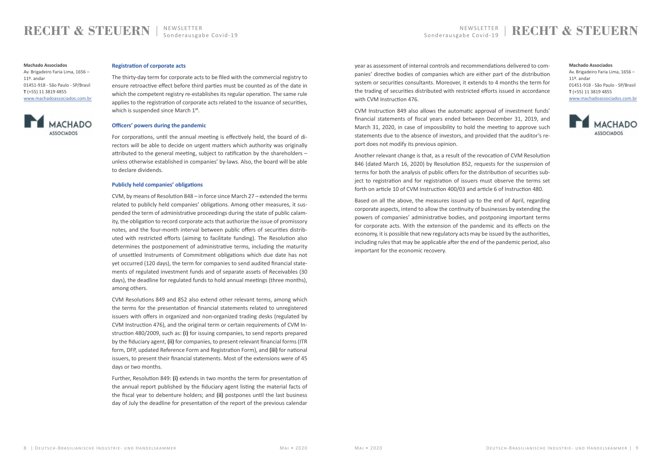The thirty-day term for corporate acts to be filed with the commercial registry to ensure retroactive effect before third parties must be counted as of the date in which the competent registry re-establishes its regular operation. The same rule applies to the registration of corporate acts related to the issuance of securities, which is suspended since March 1<sup>st</sup>.

## NEWSLETTER RECHTTER RECHTTER RECHTTER RECHTTER RECHTTER RECHTTER RECHTTER RECHTTER RECHTTER RECHTTER NEWSLETTER RECHTTER RECHTTER RECHTTER RECHTTER RECHTTER RECHTTER RECHTTER RECHTTER RECHTTER RECHTTER RECHTTER RECHTTER RE

## **RECHT & STEUERN**

#### **Registration of corporate acts**

#### **Officers' powers during the pandemic**

For corporations, until the annual meeting is effectively held, the board of directors will be able to decide on urgent matters which authority was originally attributed to the general meeting, subject to ratification by the shareholders – unless otherwise established in companies' by-laws. Also, the board will be able to declare dividends.

#### **Publicly held companies' obligations**

CVM, by means of Resolution 848 – in force since March 27 – extended the terms related to publicly held companies' obligations. Among other measures, it suspended the term of administrative proceedings during the state of public calamity, the obligation to record corporate acts that authorize the issue of promissory notes, and the four-month interval between public offers of securities distributed with restricted efforts (aiming to facilitate funding). The Resolution also determines the postponement of administrative terms, including the maturity of unsettled Instruments of Commitment obligations which due date has not yet occurred (120 days), the term for companies to send audited financial statements of regulated investment funds and of separate assets of Receivables (30 days), the deadline for regulated funds to hold annual meetings (three months), among others.

CVM Resolutions 849 and 852 also extend other relevant terms, among which the terms for the presentation of financial statements related to unregistered issuers with offers in organized and non-organized trading desks (regulated by CVM Instruction 476), and the original term or certain requirements of CVM Instruction 480/2009, such as: **(i)** for issuing companies, to send reports prepared by the fiduciary agent, **(ii)** for companies, to present relevant financial forms (ITR form, DFP, updated Reference Form and Registration Form), and **(iii)** for national issuers, to present their financial statements. Most of the extensions were of 45 days or two months.

Further, Resolution 849: **(i)** extends in two months the term for presentation of the annual report published by the fiduciary agent listing the material facts of the fiscal year to debenture holders; and **(ii)** postpones until the last business day of July the deadline for presentation of the report of the previous calendar

year as assessment of internal controls and recommendations delivered to companies' directive bodies of companies which are either part of the distribution system or securities consultants. Moreover, it extends to 4 months the term for the trading of securities distributed with restricted efforts issued in accordance with CVM Instruction 476.

CVM Instruction 849 also allows the automatic approval of investment funds' financial statements of fiscal years ended between December 31, 2019, and March 31, 2020, in case of impossibility to hold the meeting to approve such statements due to the absence of investors, and provided that the auditor's report does not modify its previous opinion.

Another relevant change is that, as a result of the revocation of CVM Resolution 846 (dated March 16, 2020) by Resolution 852, requests for the suspension of terms for both the analysis of public offers for the distribution of securities subject to registration and for registration of issuers must observe the terms set forth on article 10 of CVM Instruction 400/03 and article 6 of Instruction 480.

Based on all the above, the measures issued up to the end of April, regarding corporate aspects, intend to allow the continuity of businesses by extending the powers of companies' administrative bodies, and postponing important terms for corporate acts. With the extension of the pandemic and its effects on the economy, it is possible that new regulatory acts may be issued by the authorities, including rules that may be applicable after the end of the pandemic period, also important for the economic recovery.

#### **Machado Associados**

Av. Brigadeiro Faria Lima, 1656 – 11º. andar 01451-918 - São Paulo - SP/Brasil **T** (+55) 11 3819 4855 [www.machadoassociados.com.br](https://www.machadoassociados.com.br/pt/)



#### **Machado Associados**

Av. Brigadeiro Faria Lima, 1656 – 11º. andar 01451-918 - São Paulo - SP/Brasil **T** (+55) 11 3819 4855 [www.machadoassociados.com.br](https://www.machadoassociados.com.br/pt/)

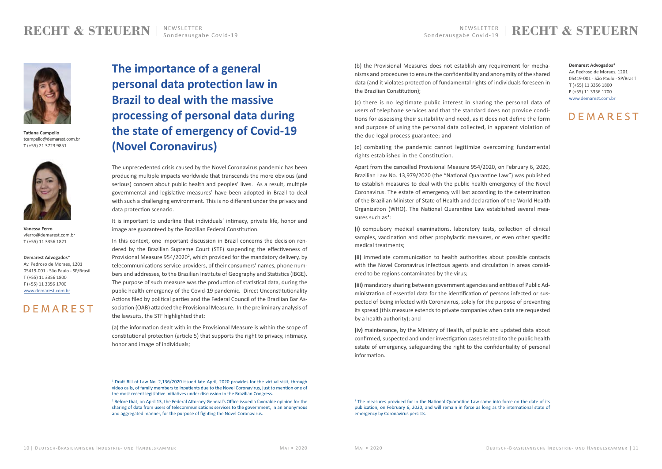## **RECHTER** RECHTER **RECHT & STEUERN**

## <span id="page-5-0"></span>**RECHT & STEUERN**

#### **Demarest Advogados\***

Av. Pedroso de Moraes, 1201 05419-001 - São Paulo - SP/Brasil **T** (+55) 11 3356 1800 **F** (+55) 11 3356 1700 [www.demarest.com.br](https://www.demarest.com.br/)

## DEMAREST

**Demarest Advogados\***

Av. Pedroso de Moraes, 1201 05419-001 - São Paulo - SP/Brasil **T** (+55) 11 3356 1800 **F** (+55) 11 3356 1700 [www.demarest.com.br](https://www.demarest.com.br/)

## DEMAREST

**Vanessa Ferro** vferro@demarest.com.br **T** (+55) 11 3356 1821



**Tatiana Campello** tcampello@demarest.com.br **T** (+55) 21 3723 9851



**The importance of a general personal data protection law in Brazil to deal with the massive processing of personal data during the state of emergency of Covid-19 (Novel Coronavirus)**

The unprecedented crisis caused by the Novel Coronavirus pandemic has been producing multiple impacts worldwide that transcends the more obvious (and serious) concern about public health and peoples' lives. As a result, multiple governmental and legislative measures<sup>1</sup> have been adopted in Brazil to deal with such a challenging environment. This is no different under the privacy and data protection scenario.

In this context, one important discussion in Brazil concerns the decision rendered by the Brazilian Supreme Court (STF) suspending the effectiveness of Provisional Measure 954/2020², which provided for the mandatory delivery, by telecommunications service providers, of their consumers' names, phone numbers and addresses, to the Brazilian Institute of Geography and Statistics (IBGE). The purpose of such measure was the production of statistical data, during the public health emergency of the Covid-19 pandemic. Direct Unconstitutionality Actions filed by political parties and the Federal Council of the Brazilian Bar Association (OAB) attacked the Provisional Measure. In the preliminary analysis of the lawsuits, the STF highlighted that:

It is important to underline that individuals' intimacy, private life, honor and image are guaranteed by the Brazilian Federal Constitution.

Apart from the cancelled Provisional Measure 954/2020, on February 6, 2020, Brazilian Law No. 13,979/2020 (the "National Quarantine Law") was published to establish measures to deal with the public health emergency of the Novel Coronavirus. The estate of emergency will last according to the determination of the Brazilian Minister of State of Health and declaration of the World Health Organization (WHO). The National Quarantine Law established several measures such  $as^3$ :

(a) the information dealt with in the Provisional Measure is within the scope of constitutional protection (article 5) that supports the right to privacy, intimacy, honor and image of individuals;

(b) the Provisional Measures does not establish any requirement for mechanisms and procedures to ensure the confidentiality and anonymity of the shared data (and it violates protection of fundamental rights of individuals foreseen in the Brazilian Constitution);

(c) there is no legitimate public interest in sharing the personal data of users of telephone services and that the standard does not provide conditions for assessing their suitability and need, as it does not define the form and purpose of using the personal data collected, in apparent violation of the due legal process guarantee; and

(d) combating the pandemic cannot legitimize overcoming fundamental rights established in the Constitution.

**(i)** compulsory medical examinations, laboratory tests, collection of clinical samples, vaccination and other prophylactic measures, or even other specific medical treatments;

**(ii)** immediate communication to health authorities about possible contacts with the Novel Coronavirus infectious agents and circulation in areas considered to be regions contaminated by the virus;

**(iii)** mandatory sharing between government agencies and entities of Public Administration of essential data for the identification of persons infected or suspected of being infected with Coronavirus, solely for the purpose of preventing its spread (this measure extends to private companies when data are requested by a health authority); and

**(iv)** maintenance, by the Ministry of Health, of public and updated data about confirmed, suspected and under investigation cases related to the public health estate of emergency, safeguarding the right to the confidentiality of personal information.

<sup>&</sup>lt;sup>1</sup> Draft Bill of Law No. 2,136/2020 issued late April, 2020 provides for the virtual visit, through video calls, of family members to inpatients due to the Novel Coronavirus, just to mention one of the most recent legislative initiatives under discussion in the Brazilian Congress.

<sup>&</sup>lt;sup>2</sup> Before that, on April 13, the Federal Attorney General's Office issued a favorable opinion for the sharing of data from users of telecommunications services to the government, in an anonymous and aggregated manner, for the purpose of fighting the Novel Coronavirus.

<sup>&</sup>lt;sup>3</sup> The measures provided for in the National Quarantine Law came into force on the date of its publication, on February 6, 2020, and will remain in force as long as the international state of emergency by Coronavirus persists.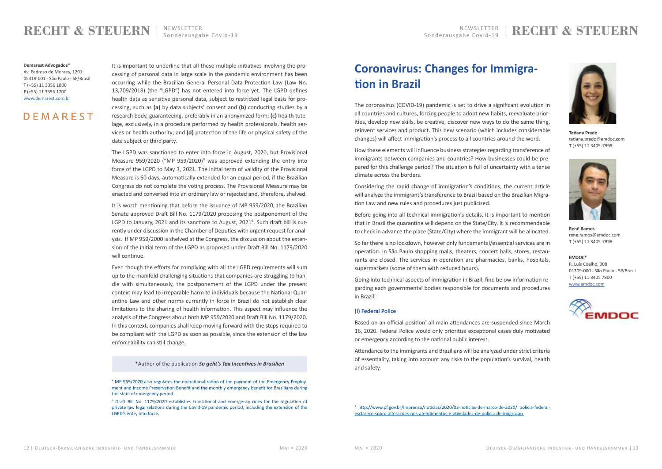## NEWSLETTER RECHT & STEUERN

## <span id="page-6-0"></span>**RECHT & STEUERN**

It is important to underline that all these multiple initiatives involving the processing of personal data in large scale in the pandemic environment has been occurring while the Brazilian General Personal Data Protection Law (Law No. 13,709/2018) (the "LGPD") has not entered into force yet. The LGPD defines health data as sensitive personal data, subject to restricted legal basis for processing, such as **(a)** by data subjects' consent and **(b)** conducting studies by a research body, guaranteeing, preferably in an anonymized form; **(c)** health tutelage, exclusively, in a procedure performed by health professionals, health services or health authority; and **(d)** protection of the life or physical safety of the data subject or third party.

The LGPD was sanctioned to enter into force in August, 2020, but Provisional Measure 959/2020 ("MP 959/2020)<sup>4</sup> was approved extending the entry into force of the LGPD to May 3, 2021. The initial term of validity of the Provisional Measure is 60 days, automatically extended for an equal period, if the Brazilian Congress do not complete the voting process. The Provisional Measure may be enacted and converted into an ordinary law or rejected and, therefore, shelved.

It is worth mentioning that before the issuance of MP 959/2020, the Brazilian Senate approved Draft Bill No. 1179/2020 proposing the postponement of the LGPD to January, 2021 and its sanctions to August, 2021<sup>5</sup>. Such draft bill is currently under discussion in the Chamber of Deputies with urgent request for analysis. If MP 959/2000 is shelved at the Congress, the discussion about the extension of the initial term of the LGPD as proposed under Draft Bill No. 1179/2020 will continue.

Even though the efforts for complying with all the LGPD requirements will sum up to the manifold challenging situations that companies are struggling to handle with simultaneously, the postponement of the LGPD under the present context may lead to irreparable harm to individuals because the National Quarantine Law and other norms currently in force in Brazil do not establish clear limitations to the sharing of health information. This aspect may influence the analysis of the Congress about both MP 959/2020 and Draft Bill No. 1179/2020. In this context, companies shall keep moving forward with the steps required to be compliant with the LGPD as soon as possible, since the extension of the law enforceability can still change.

Based on an official position<sup>1</sup> all main attendances are suspended since March 16, 2020. Federal Police would only prioritize exceptional cases duly motivated or emergency according to the national public interest.

<sup>1</sup> [http://www.pf.gov.br/imprensa/noticias/2020/03-noticias-de-marco-de-2020/ policia-federal](http://www.pf.gov.br/imprensa/noticias/2020/03-noticias-de-marco-de-2020/policia-federal-esclarece-sobre-alteracoes-nos-atendimentos-e-atividades-de-policia-de-imigracao)[esclarece-sobre-alteracoes-nos-atendimentos-e-atividades-de-policia-de-imigracao](http://www.pf.gov.br/imprensa/noticias/2020/03-noticias-de-marco-de-2020/policia-federal-esclarece-sobre-alteracoes-nos-atendimentos-e-atividades-de-policia-de-imigracao) 

Av. Pedroso de Moraes, 1201 05419-001 - São Paulo - SP/Brasil **T** (+55) 11 3356 1800 **F** (+55) 11 3356 1700 [www.demarest.com.br](https://www.demarest.com.br/)

## DEMAREST

\*Author of the publication *So geht's Tax Incentives in Brasilien*

**EMDOC\*** R. Luís Coelho, 308 01309-000 - São Paulo - SP/Brasil T (+55) 11 3405 7800 [www.emdoc.com](http://www.emdoc.com/)





**Tatiana Prado** tatiana.prado@emdoc.com **T** (+55) 11 3405-7998



**Renê Ramos** rene.ramos@emdoc.com **T** (+55) 11 3405-7998

## **Coronavirus: Changes for Immigration in Brazil**

The coronavirus (COVID-19) pandemic is set to drive a significant evolution in all countries and cultures, forcing people to adopt new habits, reevaluate priorities, develop new skills, be creative, discover new ways to do the same thing, reinvent services and product. This new scenario (which includes considerable changes) will affect immigration's process to all countries around the word.

How these elements will influence business strategies regarding transference of immigrants between companies and countries? How businesses could be prepared for this challenge period? The situation is full of uncertainty with a tense climate across the borders.

Considering the rapid change of immigration's conditions, the current article will analyze the immigrant's transference to Brazil based on the Brazilian Migration Law and new rules and procedures just publicized.

Before going into all technical immigration's details, it is important to mention that in Brazil the quarantine will depend on the State/City. It is recommendable to check in advance the place (State/City) where the immigrant will be allocated.

So far there is no lockdown, however only fundamental/essential services are in operation. In São Paulo shopping malls, theaters, concert halls, stores, restaurants are closed. The services in operation are pharmacies, banks, hospitals, supermarkets (some of them with reduced hours).

Going into technical aspects of immigration in Brazil, find below information regarding each governmental bodies responsible for documents and procedures in Brazil:

#### **(I) Federal Police**

Attendance to the immigrants and Brazilians will be analyzed under strict criteria of essentiality, taking into account any risks to the population's survival, health and safety.

<sup>&</sup>lt;sup>4</sup> MP 959/2020 also regulates the operationalization of the payment of the Emergency Employment and Income Preservation Benefit and the monthly emergency benefit for Brazilians during the state of emergency period.

<sup>&</sup>lt;sup>5</sup> Draft Bill No. 1179/2020 establishes transitional and emergency rules for the regulation of private law legal relations during the Covid-19 pandemic period, including the extension of the LGPD's entry into force.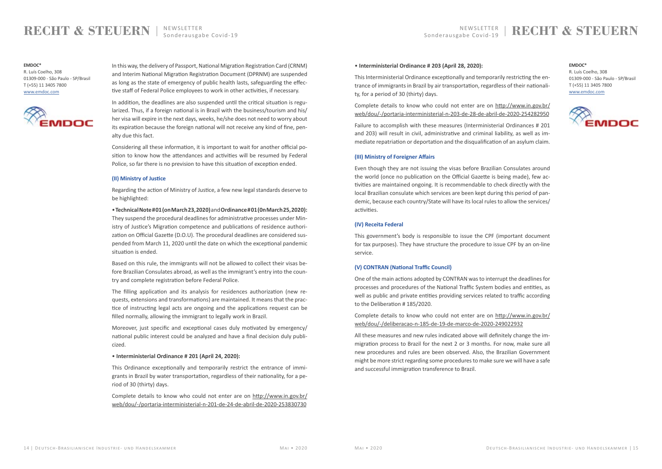## **RECHT & STEUERN**

In this way, the delivery of Passport, National Migration Registration Card (CRNM) and Interim National Migration Registration Document (DPRNM) are suspended as long as the state of emergency of public health lasts, safeguarding the effective staff of Federal Police employees to work in other activities, if necessary.

In addition, the deadlines are also suspended until the critical situation is regularized. Thus, if a foreign national is in Brazil with the business/tourism and his/ her visa will expire in the next days, weeks, he/she does not need to worry about its expiration because the foreign national will not receive any kind of fine, penalty due this fact.

Considering all these information, it is important to wait for another official position to know how the attendances and activities will be resumed by Federal Police, so far there is no prevision to have this situation of exception ended.

#### **(II) Ministry of Justice**

Regarding the action of Ministry of Justice, a few new legal standards deserve to be highlighted:

• **TechnicalNote#01(onMarch23,2020)** and **Ordinance#01(0nMarch25,2020):** They suspend the procedural deadlines for administrative processes under Ministry of Justice's Migration competence and publications of residence authorization on Official Gazette (D.O.U). The procedural deadlines are considered suspended from March 11, 2020 until the date on which the exceptional pandemic situation is ended.

Based on this rule, the immigrants will not be allowed to collect their visas before Brazilian Consulates abroad, as well as the immigrant's entry into the country and complete registration before Federal Police.

The filling application and its analysis for residences authorization (new requests, extensions and transformations) are maintained. It means that the practice of instructing legal acts are ongoing and the applications request can be filled normally, allowing the immigrant to legally work in Brazil.

Moreover, just specific and exceptional cases duly motivated by emergency/ national public interest could be analyzed and have a final decision duly publicized.

#### • **Interministerial Ordinance # 201 (April 24, 2020):**

This Ordinance exceptionally and temporarily restrict the entrance of immigrants in Brazil by water transportation, regardless of their nationality, for a period of 30 (thirty) days.

Complete details to know who could not enter are on [http://www.in.gov.br/](http://www.in.gov.br/web/dou/-/portaria-interministerial-n-201-de-24-de-abril-de-2020-253830730) [web/dou/-/portaria-interministerial-n-201-de-24-de-abril-de-2020-253830730](http://www.in.gov.br/web/dou/-/portaria-interministerial-n-201-de-24-de-abril-de-2020-253830730)

### • **Interministerial Ordinance # 203 (April 28, 2020):**

This Interministerial Ordinance exceptionally and temporarily restricting the entrance of immigrants in Brazil by air transportation, regardless of their nationality, for a period of 30 (thirty) days.

Complete details to know who could not enter are on [http://www.in.gov.br/](http://www.in.gov.br/web/dou/-/portaria-interministerial-n-203-de-28-de-abril-de-2020-254282950) [web/dou/-/portaria-interministerial-n-203-de-28-de-abril-de-2020-254282950](http://www.in.gov.br/web/dou/-/portaria-interministerial-n-203-de-28-de-abril-de-2020-254282950)

Failure to accomplish with these measures (Interministerial Ordinances # 201 and 203) will result in civil, administrative and criminal liability, as well as immediate repatriation or deportation and the disqualification of an asylum claim.

### **(III) Ministry of Foreigner Affairs**

Even though they are not issuing the visas before Brazilian Consulates around the world (once no publication on the Official Gazette is being made), few activities are maintained ongoing. It is recommendable to check directly with the local Brazilian consulate which services are been kept during this period of pandemic, because each country/State will have its local rules to allow the services/ activities.

### **(IV) Receita Federal**

This government's body is responsible to issue the CPF (important document for tax purposes). They have structure the procedure to issue CPF by an on-line service.

### **(V) CONTRAN (National Traffic Council)**

One of the main actions adopted by CONTRAN was to interrupt the deadlines for processes and procedures of the National Traffic System bodies and entities, as well as public and private entities providing services related to traffic according to the Deliberation # 185/2020.

Complete details to know who could not enter are on [http://www.in.gov.br/](http://www.in.gov.br/web/dou/-/deliberacao-n-185-de-19-de-marco-de-2020-249022932) [web/dou/-/deliberacao-n-185-de-19-de-marco-de-2020-249022932](http://www.in.gov.br/web/dou/-/deliberacao-n-185-de-19-de-marco-de-2020-249022932)

All these measures and new rules indicated above will definitely change the immigration process to Brazil for the next 2 or 3 months. For now, make sure all new procedures and rules are been observed. Also, the Brazilian Government might be more strict regarding some procedures to make sure we will have a safe and successful immigration transference to Brazil.

#### **EMDOC\***

R. Luís Coelho, 308 01309-000 - São Paulo - SP/Brasil T (+55) 11 3405 7800 [www.emdoc.com](http://www.emdoc.com/)



**EMDOC\***

R. Luís Coelho, 308 01309-000 - São Paulo - SP/Brasil T (+55) 11 3405 7800 [www.emdoc.com](http://www.emdoc.com/)

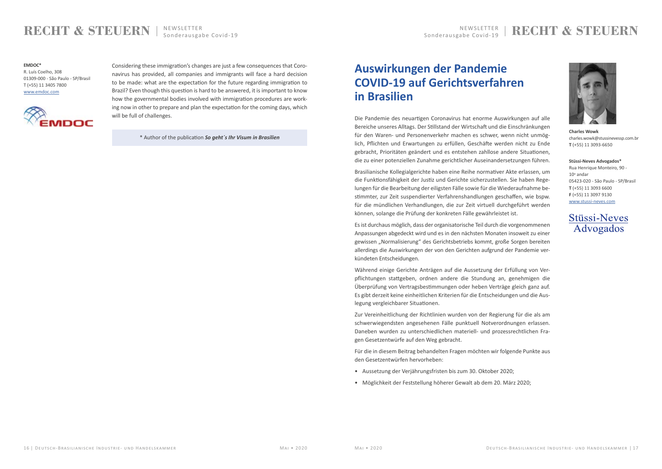## **REWSLETTER** RECHT & STEUERN



## <span id="page-8-0"></span>**RECHT & STEUERN**

Considering these immigration's changes are just a few consequences that Coronavirus has provided, all companies and immigrants will face a hard decision to be made: what are the expectation for the future regarding immigration to Brazil? Even though this question is hard to be answered, it is important to know how the governmental bodies involved with immigration procedures are working now in other to prepare and plan the expectation for the coming days, which will be full of challenges.

\* Author of the publication *So geht´s Ihr Visum in Brasilien*

**EMDOC\***

R. Luís Coelho, 308 01309-000 - São Paulo - SP/Brasil T (+55) 11 3405 7800 [www.emdoc.com](http://www.emdoc.com/)



## **Auswirkungen der Pandemie COVID-19 auf Gerichtsverfahren in Brasilien**

Die Pandemie des neuartigen Coronavirus hat enorme Auswirkungen auf alle Bereiche unseres Alltags. Der Stillstand der Wirtschaft und die Einschränkungen für den Waren- und Personenverkehr machen es schwer, wenn nicht unmöglich, Pflichten und Erwartungen zu erfüllen, Geschäfte werden nicht zu Ende gebracht, Prioritäten geändert und es entstehen zahllose andere Situationen, die zu einer potenziellen Zunahme gerichtlicher Auseinandersetzungen führen.

Brasilianische Kollegialgerichte haben eine Reihe normativer Akte erlassen, um die Funktionsfähigkeit der Justiz und Gerichte sicherzustellen. Sie haben Regelungen für die Bearbeitung der eiligsten Fälle sowie für die Wiederaufnahme bestimmter, zur Zeit suspendierter Verfahrenshandlungen geschaffen, wie bspw. für die mündlichen Verhandlungen, die zur Zeit virtuell durchgeführt werden können, solange die Prüfung der konkreten Fälle gewährleistet ist.

Es ist durchaus möglich, dass der organisatorische Teil durch die vorgenommenen Anpassungen abgedeckt wird und es in den nächsten Monaten insoweit zu einer gewissen "Normalisierung" des Gerichtsbetriebs kommt, große Sorgen bereiten allerdings die Auswirkungen der von den Gerichten aufgrund der Pandemie verkündeten Entscheidungen.

Während einige Gerichte Anträgen auf die Aussetzung der Erfüllung von Verpflichtungen stattgeben, ordnen andere die Stundung an, genehmigen die Überprüfung von Vertragsbestimmungen oder heben Verträge gleich ganz auf. Es gibt derzeit keine einheitlichen Kriterien für die Entscheidungen und die Auslegung vergleichbarer Situationen.

Zur Vereinheitlichung der Richtlinien wurden von der Regierung für die als am schwerwiegendsten angesehenen Fälle punktuell Notverordnungen erlassen. Daneben wurden zu unterschiedlichen materiell- und prozessrechtlichen Fragen Gesetzentwürfe auf den Weg gebracht.

Für die in diesem Beitrag behandelten Fragen möchten wir folgende Punkte aus den Gesetzentwürfen hervorheben:

- Aussetzung der Verjährungsfristen bis zum 30. Oktober 2020;
- Möglichkeit der Feststellung höherer Gewalt ab dem 20. März 2020;

**Charles Wowk** charles.wowk@stussinevessp.com.br **T** (+55) 11 3093-6650

**Stüssi-Neves Advogados\*** Rua Henrique Monteiro, 90 -  $10^{\circ}$  andar 05423-020 - São Paulo - SP/Brasil **T** (+55) 11 3093 6600 **F** (+55) 11 3097 9130 [www.stussi-neves.com](http://www.stussi-neves.com/)

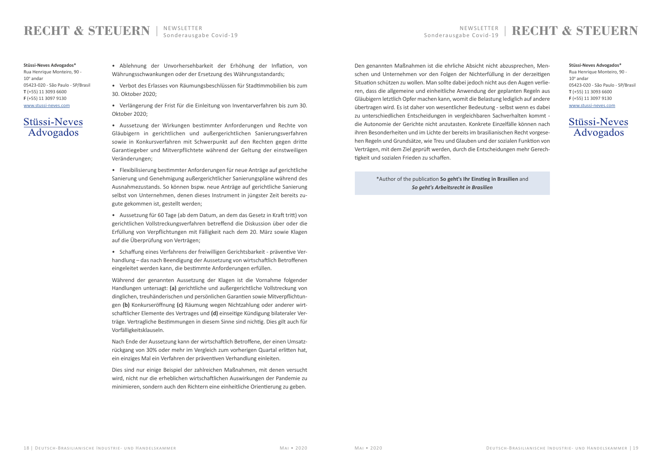## **RECHT & STEUERN**

• Ablehnung der Unvorhersehbarkeit der Erhöhung der Inflation, von Währungsschwankungen oder der Ersetzung des Währungsstandards;

• Verbot des Erlasses von Räumungsbeschlüssen für Stadtimmobilien bis zum 30. Oktober 2020;

• Verlängerung der Frist für die Einleitung von Inventarverfahren bis zum 30. Oktober 2020;

• Aussetzung der Wirkungen bestimmter Anforderungen und Rechte von Gläubigern in gerichtlichen und außergerichtlichen Sanierungsverfahren sowie in Konkursverfahren mit Schwerpunkt auf den Rechten gegen dritte Garantiegeber und Mitverpflichtete während der Geltung der einstweiligen Veränderungen;

• Flexibilisierung bestimmter Anforderungen für neue Anträge auf gerichtliche Sanierung und Genehmigung außergerichtlicher Sanierungspläne während des Ausnahmezustands. So können bspw. neue Anträge auf gerichtliche Sanierung selbst von Unternehmen, denen dieses Instrument in jüngster Zeit bereits zugute gekommen ist, gestellt werden;

• Aussetzung für 60 Tage (ab dem Datum, an dem das Gesetz in Kraft tritt) von gerichtlichen Vollstreckungsverfahren betreffend die Diskussion über oder die Erfüllung von Verpflichtungen mit Fälligkeit nach dem 20. März sowie Klagen auf die Überprüfung von Verträgen;

• Schaffung eines Verfahrens der freiwilligen Gerichtsbarkeit - präventive Verhandlung – das nach Beendigung der Aussetzung von wirtschaftlich Betroffenen eingeleitet werden kann, die bestimmte Anforderungen erfüllen.

Während der genannten Aussetzung der Klagen ist die Vornahme folgender Handlungen untersagt: **(a)** gerichtliche und außergerichtliche Vollstreckung von dinglichen, treuhänderischen und persönlichen Garantien sowie Mitverpflichtungen **(b)** Konkurseröffnung **(c)** Räumung wegen Nichtzahlung oder anderer wirtschaftlicher Elemente des Vertrages und **(d)** einseitige Kündigung bilateraler Verträge. Vertragliche Bestimmungen in diesem Sinne sind nichtig. Dies gilt auch für Vorfälligkeitsklauseln.

Nach Ende der Aussetzung kann der wirtschaftlich Betroffene, der einen Umsatzrückgang von 30% oder mehr im Vergleich zum vorherigen Quartal erlitten hat, ein einziges Mal ein Verfahren der präventiven Verhandlung einleiten.

Dies sind nur einige Beispiel der zahlreichen Maßnahmen, mit denen versucht wird, nicht nur die erheblichen wirtschaftlichen Auswirkungen der Pandemie zu minimieren, sondern auch den Richtern eine einheitliche Orientierung zu geben.

Den genannten Maßnahmen ist die ehrliche Absicht nicht abzusprechen, Menschen und Unternehmen vor den Folgen der Nichterfüllung in der derzeitigen Situation schützen zu wollen. Man sollte dabei jedoch nicht aus den Augen verlieren, dass die allgemeine und einheitliche Anwendung der geplanten Regeln aus Gläubigern letztlich Opfer machen kann, womit die Belastung lediglich auf andere übertragen wird. Es ist daher von wesentlicher Bedeutung - selbst wenn es dabei zu unterschiedlichen Entscheidungen in vergleichbaren Sachverhalten kommt die Autonomie der Gerichte nicht anzutasten. Konkrete Einzelfälle können nach ihren Besonderheiten und im Lichte der bereits im brasilianischen Recht vorgesehen Regeln und Grundsätze, wie Treu und Glauben und der sozialen Funktion von Verträgen, mit dem Ziel geprüft werden, durch die Entscheidungen mehr Gerechtigkeit und sozialen Frieden zu schaffen.

> \*Author of the publication **So geht's Ihr Einstieg in Brasilien** and *So geht's Arbeitsrecht in Brasilien*

**Stüssi-Neves Advogados\*** Rua Henrique Monteiro, 90 -  $10^{\circ}$  andar 05423-020 - São Paulo - SP/Brasil **T** (+55) 11 3093 6600 **F** (+55) 11 3097 9130 [www.stussi-neves.com](http://www.stussi-neves.com/)

## **Stüssi-Neves** Advogados

#### **Stüssi-Neves Advogados\***

Rua Henrique Monteiro, 90 -  $10^{\circ}$  andar 05423-020 - São Paulo - SP/Brasil **T** (+55) 11 3093 6600 **F** (+55) 11 3097 9130 [www.stussi-neves.com](http://www.stussi-neves.com/)

## **Stüssi-Neves** Advogados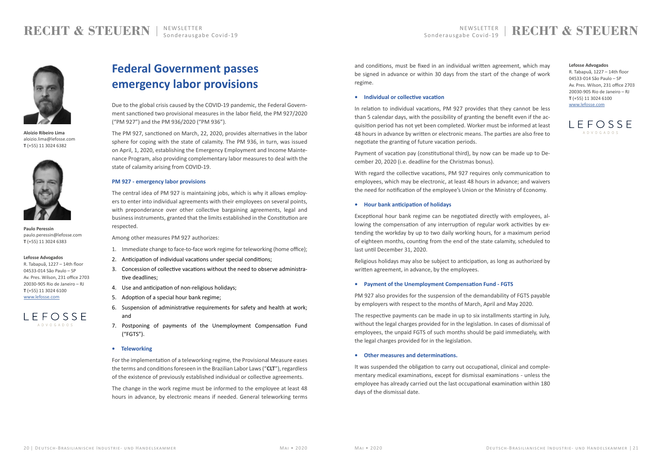## <span id="page-10-0"></span>**RECHT & STEUERN**



**Aloizio Ribeiro Lima** aloizio.lima@lefosse.com **T** (+55) 11 3024 6382



**Paulo Peressin** paulo.peressin@lefosse.com **T** (+55) 11 3024 6383

#### **Lefosse Advogados**

R. Tabapuã, 1227 – 14th floor 04533-014 São Paulo – SP Av. Pres. Wilson, 231 office 2703 20030-905 Rio de Janeiro – RJ **T** (+55) 11 3024 6100 [www.lefosse.com](https://lefosse.com/)



#### **Lefosse Advogados**

R. Tabapuã, 1227 – 14th floor 04533-014 São Paulo – SP Av. Pres. Wilson, 231 office 2703 20030-905 Rio de Janeiro – RJ **T** (+55) 11 3024 6100 [www.lefosse.com](https://lefosse.com/)



## **Federal Government passes emergency labor provisions**

Due to the global crisis caused by the COVID-19 pandemic, the Federal Government sanctioned two provisional measures in the labor field, the PM 927/2020 ("PM 927") and the PM 936/2020 ("PM 936").

The PM 927, sanctioned on March, 22, 2020, provides alternatives in the labor sphere for coping with the state of calamity. The PM 936, in turn, was issued on April, 1, 2020, establishing the Emergency Employment and Income Maintenance Program, also providing complementary labor measures to deal with the state of calamity arising from COVID-19.

### **PM 927 - emergency labor provisions**

The central idea of PM 927 is maintaining jobs, which is why it allows employers to enter into individual agreements with their employees on several points, with preponderance over other collective bargaining agreements, legal and business instruments, granted that the limits established in the Constitution are respected.

Among other measures PM 927 authorizes:

- 1. Immediate change to face-to-face work regime for teleworking (home office);
- 2. Anticipation of individual vacations under special conditions;
- 3. Concession of collective vacations without the need to observe administrative deadlines;
- 4. Use and anticipation of non-religious holidays;
- 5. Adoption of a special hour bank regime;
- 6. Suspension of administrative requirements for safety and health at work; and
- 7. Postponing of payments of the Unemployment Compensation Fund ("FGTS").

#### **• Teleworking**

For the implementation of a teleworking regime, the Provisional Measure eases the terms and conditions foreseen in the Brazilian Labor Laws ("**CLT**"), regardless of the existence of previously established individual or collective agreements.

The change in the work regime must be informed to the employee at least 48 hours in advance, by electronic means if needed. General teleworking terms and conditions, must be fixed in an individual written agreement, which may be signed in advance or within 30 days from the start of the change of work regime.

#### **• Individual or collective vacation**

In relation to individual vacations, PM 927 provides that they cannot be less than 5 calendar days, with the possibility of granting the benefit even if the acquisition period has not yet been completed. Worker must be informed at least 48 hours in advance by written or electronic means. The parties are also free to negotiate the granting of future vacation periods.

Payment of vacation pay (constitutional third), by now can be made up to December 20, 2020 (i.e. deadline for the Christmas bonus).

With regard the collective vacations, PM 927 requires only communication to employees, which may be electronic, at least 48 hours in advance; and waivers the need for notification of the employee's Union or the Ministry of Economy.

#### **• Hour bank anticipation of holidays**

Exceptional hour bank regime can be negotiated directly with employees, allowing the compensation of any interruption of regular work activities by extending the workday by up to two daily working hours, for a maximum period of eighteen months, counting from the end of the state calamity, scheduled to last until December 31, 2020.

Religious holidays may also be subject to anticipation, as long as authorized by written agreement, in advance, by the employees.

#### **• Payment of the Unemployment Compensation Fund - FGTS**

PM 927 also provides for the suspension of the demandability of FGTS payable by employers with respect to the months of March, April and May 2020.

The respective payments can be made in up to six installments starting in July, without the legal charges provided for in the legislation. In cases of dismissal of employees, the unpaid FGTS of such months should be paid immediately, with the legal charges provided for in the legislation.

#### **• Other measures and determinations.**

It was suspended the obligation to carry out occupational, clinical and complementary medical examinations, except for dismissal examinations - unless the employee has already carried out the last occupational examination within 180 days of the dismissal date.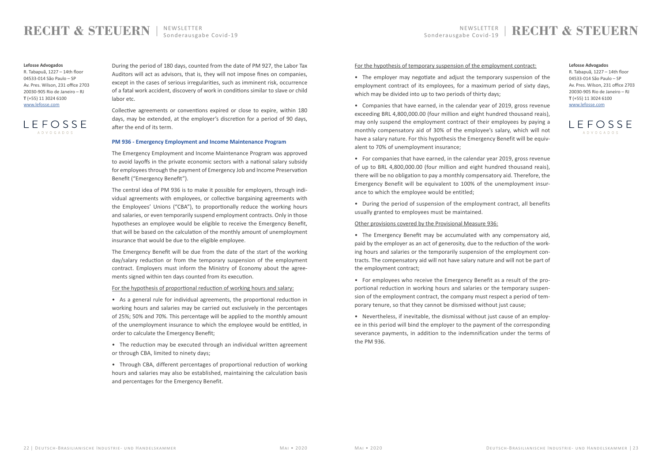## **RECHT & STEUERN**

During the period of 180 days, counted from the date of PM 927, the Labor Tax Auditors will act as advisors, that is, they will not impose fines on companies, except in the cases of serious irregularities, such as imminent risk, occurrence of a fatal work accident, discovery of work in conditions similar to slave or child labor etc.

Collective agreements or conventions expired or close to expire, within 180 days, may be extended, at the employer's discretion for a period of 90 days, after the end of its term.

#### **PM 936 - Emergency Employment and Income Maintenance Program**

The Emergency Employment and Income Maintenance Program was approved to avoid layoffs in the private economic sectors with a national salary subsidy for employees through the payment of Emergency Job and Income Preservation Benefit ("Emergency Benefit").

The central idea of PM 936 is to make it possible for employers, through individual agreements with employees, or collective bargaining agreements with the Employees' Unions ("CBA"), to proportionally reduce the working hours and salaries, or even temporarily suspend employment contracts. Only in those hypotheses an employee would be eligible to receive the Emergency Benefit, that will be based on the calculation of the monthly amount of unemployment insurance that would be due to the eligible employee.

The Emergency Benefit will be due from the date of the start of the working day/salary reduction or from the temporary suspension of the employment contract. Employers must inform the Ministry of Economy about the agreements signed within ten days counted from its execution.

For the hypothesis of proportional reduction of working hours and salary:

• As a general rule for individual agreements, the proportional reduction in working hours and salaries may be carried out exclusively in the percentages of 25%; 50% and 70%. This percentage will be applied to the monthly amount of the unemployment insurance to which the employee would be entitled, in order to calculate the Emergency Benefit;

• The reduction may be executed through an individual written agreement or through CBA, limited to ninety days;

• Through CBA, different percentages of proportional reduction of working hours and salaries may also be established, maintaining the calculation basis and percentages for the Emergency Benefit.

### For the hypothesis of temporary suspension of the employment contract:

• The employer may negotiate and adjust the temporary suspension of the employment contract of its employees, for a maximum period of sixty days, which may be divided into up to two periods of thirty days;

• Companies that have earned, in the calendar year of 2019, gross revenue exceeding BRL 4,800,000.00 (four million and eight hundred thousand reais), may only suspend the employment contract of their employees by paying a monthly compensatory aid of 30% of the employee's salary, which will not have a salary nature. For this hypothesis the Emergency Benefit will be equivalent to 70% of unemployment insurance;

• For companies that have earned, in the calendar year 2019, gross revenue of up to BRL 4,800,000.00 (four million and eight hundred thousand reais), there will be no obligation to pay a monthly compensatory aid. Therefore, the Emergency Benefit will be equivalent to 100% of the unemployment insurance to which the employee would be entitled;

• During the period of suspension of the employment contract, all benefits usually granted to employees must be maintained.

Other provisions covered by the Provisional Measure 936:

• The Emergency Benefit may be accumulated with any compensatory aid, paid by the employer as an act of generosity, due to the reduction of the working hours and salaries or the temporarily suspension of the employment contracts. The compensatory aid will not have salary nature and will not be part of the employment contract;

• For employees who receive the Emergency Benefit as a result of the proportional reduction in working hours and salaries or the temporary suspension of the employment contract, the company must respect a period of temporary tenure, so that they cannot be dismissed without just cause;

• Nevertheless, if inevitable, the dismissal without just cause of an employee in this period will bind the employer to the payment of the corresponding severance payments, in addition to the indemnification under the terms of the PM 936.

#### **Lefosse Advogados**

R. Tabapuã, 1227 – 14th floor 04533-014 São Paulo – SP Av. Pres. Wilson, 231 office 2703 20030-905 Rio de Janeiro – RJ **T** (+55) 11 3024 6100 [www.lefosse.com](https://lefosse.com/)



R. Tabapuã, 1227 – 14th floor 04533-014 São Paulo – SP Av. Pres. Wilson, 231 office 2703 20030-905 Rio de Janeiro – RJ **T** (+55) 11 3024 6100 [www.lefosse.com](https://lefosse.com/)

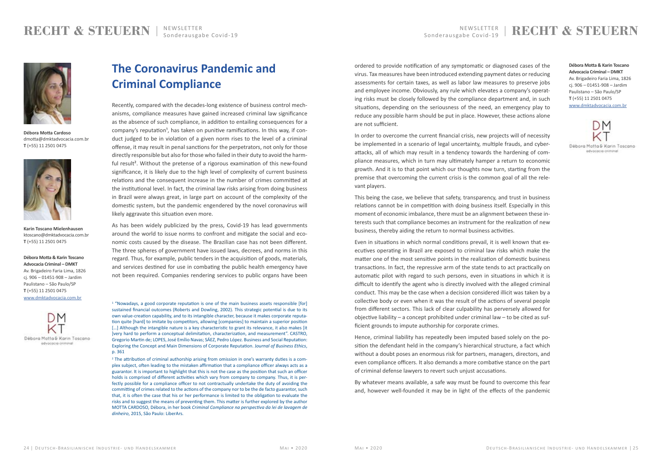## <span id="page-12-0"></span>**RECHT & STEUERN**



**Débora Motta Cardoso** dmotta@dmktadvocacia.com.br **T** (+55) 11 2501 0475



**Karin Toscano Mielenhausen** ktoscano@dmktadvocacia.com.br **T** (+55) 11 2501 0475

**Débora Motta & Karin Toscano Advocacia Criminal – DMKT** Av. Brigadeiro Faria Lima, 1826 cj. 906 – 01451-908 – Jardim Paulistano – São Paulo/SP **T** (+55) 11 2501 0475 [www.dmktadvocacia.com.br](http://www.dmktadvocacia.com.br/)



## **The Coronavirus Pandemic and Criminal Compliance**

Recently, compared with the decades-long existence of business control mechanisms, compliance measures have gained increased criminal law significance as the absence of such compliance, in addition to entailing consequences for a company's reputation<sup>1</sup>, has taken on punitive ramifications. In this way, if conduct judged to be in violation of a given norm rises to the level of a criminal offense, it may result in penal sanctions for the perpetrators, not only for those directly responsible but also for those who failed in their duty to avoid the harmful result<sup>2</sup>. Without the pretense of a rigorous examination of this new-found significance, it is likely due to the high level of complexity of current business relations and the consequent increase in the number of crimes committed at the institutional level. In fact, the criminal law risks arising from doing business in Brazil were always great, in large part on account of the complexity of the domestic system, but the pandemic engendered by the novel coronavirus will likely aggravate this situation even more.

<sup>1</sup> "Nowadays, a good corporate reputation is one of the main business assets responsible [for] sustained financial outcomes (Roberts and Dowling, 2002). This strategic potential is due to its own value-creation capability, and to its intangible character, because it makes corporate reputation quite [hard] to imitate by competitors, allowing [companies] to maintain a superior position [...] Although the intangible nature is a key characteristic to grant its relevance, it also makes [it] ]very hard to perform a conceptual delimitation, characterization, and measurement". CASTRO, Gregorio Martin de; LOPES, José Emílio Navas; SÁEZ, Pedro López. Business and Social Reputation: Exploring the Concept and Main Dimensions of Corporate Reputation. J*ournal of Business Ethics*, p. 361

<sup>2</sup> The attribution of criminal authorship arising from omission in one's warranty duties is a complex subject, often leading to the mistaken affirmation that a compliance officer always acts as a guarantor. It is important to highlight that this is not the case as the position that such an officer holds is comprised of different activities which vary from company to company. Thus, it is perfectly possible for a compliance officer to not contractually undertake the duty of avoiding the committing of crimes related to the actions of the company nor to be the de facto guarantor, such that, it is often the case that his or her performance is limited to the obligation to evaluate the risks and to suggest the means of preventing them. This matter is further explored by the author MOTTA CARDOSO, Débora, in her book *Criminal Compliance na perspectiva da lei de lavagem de dinheiro*, 2015, São Paulo: LiberArs.

As has been widely publicized by the press, Covid-19 has lead governments around the world to issue norms to confront and mitigate the social and economic costs caused by the disease. The Brazilian case has not been different. The three spheres of government have issued laws, decrees, and norms in this regard. Thus, for example, public tenders in the acquisition of goods, materials, and services destined for use in combating the public health emergency have not been required. Companies rendering services to public organs have been

**Débora Motta & Karin Toscano Advocacia Criminal – DMKT** Av. Brigadeiro Faria Lima, 1826 cj. 906 – 01451-908 – Jardim Paulistano – São Paulo/SP **T** (+55) 11 2501 0475 [www.dmktadvocacia.com.br](http://www.dmktadvocacia.com.br/)



Débora Motta & Karin Toscano advocacia criminal

ordered to provide notification of any symptomatic or diagnosed cases of the virus. Tax measures have been introduced extending payment dates or reducing assessments for certain taxes, as well as labor law measures to preserve jobs and employee income. Obviously, any rule which elevates a company's operating risks must be closely followed by the compliance department and, in such situations, depending on the seriousness of the need, an emergency play to reduce any possible harm should be put in place. However, these actions alone are not sufficient.

In order to overcome the current financial crisis, new projects will of necessity be implemented in a scenario of legal uncertainty, multiple frauds, and cyberattacks, all of which may result in a tendency towards the hardening of compliance measures, which in turn may ultimately hamper a return to economic growth. And it is to that point which our thoughts now turn, starting from the premise that overcoming the current crisis is the common goal of all the relevant players.

This being the case, we believe that safety, transparency, and trust in business relations cannot be in competition with doing business itself. Especially in this moment of economic imbalance, there must be an alignment between these interests such that compliance becomes an instrument for the realization of new business, thereby aiding the return to normal business activities.

Even in situations in which normal conditions prevail, it is well known that executives operating in Brazil are exposed to criminal law risks which make the matter one of the most sensitive points in the realization of domestic business transactions. In fact, the repressive arm of the state tends to act practically on automatic pilot with regard to such persons, even in situations in which it is difficult to identify the agent who is directly involved with the alleged criminal conduct. This may be the case when a decision considered illicit was taken by a collective body or even when it was the result of the actions of several people from different sectors. This lack of clear culpability has perversely allowed for objective liability – a concept prohibited under criminal law – to be cited as sufficient grounds to impute authorship for corporate crimes.

Hence, criminal liability has repeatedly been imputed based solely on the position the defendant held in the company's hierarchical structure, a fact which without a doubt poses an enormous risk for partners, managers, directors, and even compliance officers. It also demands a more combative stance on the part of criminal defense lawyers to revert such unjust accusations.

By whatever means available, a safe way must be found to overcome this fear and, however well-founded it may be in light of the effects of the pandemic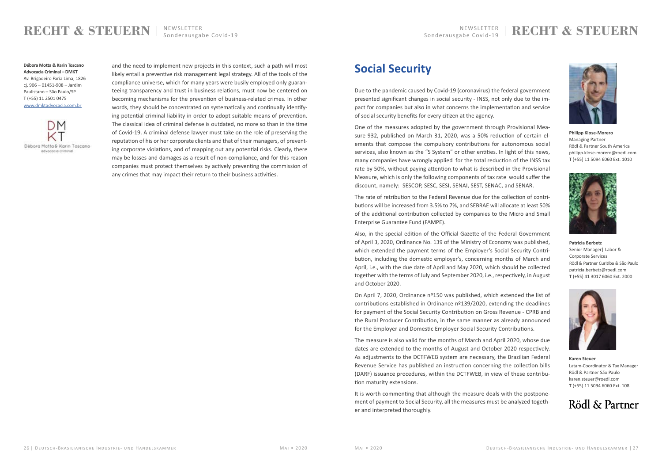## NEWSLETTER RECHTTER RECHTTER RECHTTER RECHTTER RECHTTER RECHTTER RECHTTER RECHTTER RECHTTER RECHTTER NEWSLETTER RECHTTER RECHTTER RECHTTER RECHTTER RECHTTER RECHTTER RECHTTER RECHTTER RECHTTER RECHTTER RECHTTER RECHTTER RE

## <span id="page-13-0"></span>**RECHT & STEUERN**

and the need to implement new projects in this context, such a path will most likely entail a preventive risk management legal strategy. All of the tools of the compliance universe, which for many years were busily employed only guaranteeing transparency and trust in business relations, must now be centered on becoming mechanisms for the prevention of business-related crimes. In other words, they should be concentrated on systematically and continually identifying potential criminal liability in order to adopt suitable means of prevention. The classical idea of criminal defense is outdated, no more so than in the time of Covid-19. A criminal defense lawyer must take on the role of preserving the reputation of his or her corporate clients and that of their managers, of preventing corporate violations, and of mapping out any potential risks. Clearly, there may be losses and damages as a result of non-compliance, and for this reason companies must protect themselves by actively preventing the commission of any crimes that may impact their return to their business activities.

**Débora Motta & Karin Toscano Advocacia Criminal – DMKT** Av. Brigadeiro Faria Lima, 1826 cj. 906 – 01451-908 – Jardim Paulistano – São Paulo/SP **T** (+55) 11 2501 0475 [www.dmktadvocacia.com.br](http://www.dmktadvocacia.com.br/)



## **Social Security**

Due to the pandemic caused by Covid-19 (coronavirus) the federal government presented significant changes in social security - INSS, not only due to the impact for companies but also in what concerns the implementation and service of social security benefits for every citizen at the agency.

One of the measures adopted by the government through Provisional Measure 932, published on March 31, 2020, was a 50% reduction of certain elements that compose the compulsory contributions for autonomous social services, also known as the "S System" or other entities. In light of this news, many companies have wrongly applied for the total reduction of the INSS tax rate by 50%, without paying attention to what is described in the Provisional Measure, which is only the following components of tax rate would suffer the discount, namely: SESCOP, SESC, SESI, SENAI, SEST, SENAC, and SENAR.

The rate of retribution to the Federal Revenue due for the collection of contributions will be increased from 3.5% to 7%, and SEBRAE will allocate at least 50% of the additional contribution collected by companies to the Micro and Small Enterprise Guarantee Fund (FAMPE).

Also, in the special edition of the Official Gazette of the Federal Government of April 3, 2020, Ordinance No. 139 of the Ministry of Economy was published, which extended the payment terms of the Employer's Social Security Contribution, including the domestic employer's, concerning months of March and April, i.e., with the due date of April and May 2020, which should be collected together with the terms of July and September 2020, i.e., respectively, in August and October 2020.

On April 7, 2020, Ordinance nº150 was published, which extended the list of contributions established in Ordinance  $n^{\circ}139/2020$ , extending the deadlines for payment of the Social Security Contribution on Gross Revenue - CPRB and the Rural Producer Contribution, in the same manner as already announced for the Employer and Domestic Employer Social Security Contributions.

The measure is also valid for the months of March and April 2020, whose due dates are extended to the months of August and October 2020 respectively. As adjustments to the DCTFWEB system are necessary, the Brazilian Federal Revenue Service has published an instruction concerning the collection bills (DARF) issuance procedures, within the DCTFWEB, in view of these contribution maturity extensions.

It is worth commenting that although the measure deals with the postponement of payment to Social Security, all the measures must be analyzed together and interpreted thoroughly.



**Philipp Klose-Morero** Managing Partner Rödl & Partner South America philipp.klose-morero@roedl.com **T** (+55) 11 5094 6060 Ext. 1010



**Patrícia Berbetz** Senior Manager| Labor & Corporate Services Rödl & Partner Curitiba & São Paulo patricia.berbetz@roedl.com **T** (+55) 41 3017 6060 Ext. 2000



**Karen Steuer** Latam-Coordinator & Tax Manager Rödl & Partner São Paulo karen.steuer@roedl.com **T** (+55) 11 5094 6060 Ext. 108

## Rödl & Partner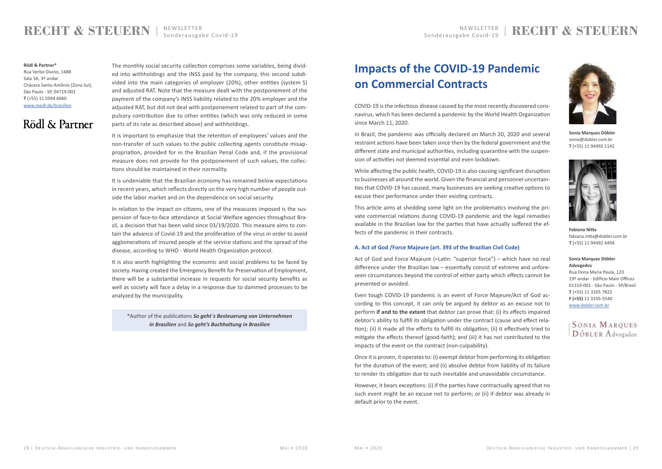## **RECHTER** RECHTER **RECHT & STEUERN**

## <span id="page-14-0"></span>**RECHT & STEUERN**

#### **Rödl & Partner\***

Rua Verbo Divino, 1488 Sala 3A, 3º andar Chácara Santo Antônio (Zona Sul), São Paulo - SP, 04719-002 **T** (+55) 11 5094 6060 [www.roedl.de/brasilien](https://www.roedl.de/unternehmen/standorte/brasilien/)

## Rödl & Partner

The monthly social security collection comprises some variables, being divided into withholdings and the INSS paid by the company, this second subdivided into the main categories of employer (20%), other entities (system S) and adjusted RAT. Note that the measure dealt with the postponement of the payment of the company's INSS liability related to the 20% employer and the adjusted RAT, but did not deal with postponement related to part of the compulsory contribution due to other entities (which was only reduced in some parts of its rate as described above) and withholdings.

It is important to emphasize that the retention of employees' values and the non-transfer of such values to the public collecting agents constitute misappropriation, provided for in the Brazilian Penal Code and, if the provisional measure does not provide for the postponement of such values, the collections should be maintained in their normality.

It is undeniable that the Brazilian economy has remained below expectations in recent years, which reflects directly on the very high number of people outside the labor market and on the dependence on social security.

In relation to the impact on citizens, one of the measures imposed is the suspension of face-to-face attendance at Social Welfare agencies throughout Brazil, a decision that has been valid since 03/19/2020. This measure aims to contain the advance of Covid-19 and the proliferation of the virus in order to avoid agglomerations of insured people at the service stations and the spread of the disease, according to WHO - World Health Organization protocol.

It is also worth highlighting the economic and social problems to be faced by society. Having created the Emergency Benefit for Preservation of Employment, there will be a substantial increase in requests for social security benefits as well as society will face a delay in a response due to dammed processes to be analyzed by the municipality.

\*Author of the publications *So geht´s Besteuerung von Unternehmen in Brasilien* and *So geht's Buchhaltung in Brasilien*

## **Impacts of the COVID-19 Pandemic on Commercial Contracts**

COVID-19 is the infectious disease caused by the most recently discovered coronavirus, which has been declared a pandemic by the World Health Organization since March 11, 2020.

In Brazil, the pandemic was officially declared on March 20, 2020 and several restraint actions have been taken since then by the federal government and the different state and municipal authorities, including quarantine with the suspension of activities not deemed essential and even lockdown.

While affecting the public health, COVID-19 is also causing significant disruption to businesses all around the world. Given the financial and personnel uncertainties that COVID-19 has caused, many businesses are seeking creative options to excuse their performance under their existing contracts.

This article aims at shedding some light on the problematics involving the private commercial relations during COVID-19 pandemic and the legal remedies available in the Brazilian law for the parties that have actually suffered the effects of the pandemic in their contracts.

#### **A. Act of God /Force Majeure (art. 393 of the Brazilian Civil Code)**

Act of God and Force Majeure (=Latin: "superior force") – which have no real difference under the Brazilian law – essentially consist of extreme and unforeseen circumstances beyond the control of either party which effects cannot be prevented or avoided.

Even tough COVID-19 pandemic is an event of Force Majeure/Act of God according to this concept, it can only be argued by debtor as an excuse not to perform **if and to the extent** that debtor can prove that: (i) its effects impaired debtor's ability to fulfill its obligation under the contract (cause and effect relation); (ii) it made all the efforts to fulfill its obligation; (ii) it effectively tried to mitigate the effects thereof (good-faith); and (iii) it has not contributed to the impacts of the event on the contract (non-culpability).

Once it is proven, it operates to: (i) exempt debtor from performing its obligation for the duration of the event; and (ii) absolve debtor from liability of its failure to render its obligation due to such inevitable and unavoidable circumstance.

However, it bears exceptions: (i) if the parties have contractually agreed that no such event might be an excuse not to perform; or (ii) if debtor was already in default prior to the event.

#### **Sonia Marques Döbler Advogados**

Rua Dona Maria Paula, 123 19º andar - Edifício Main Offices 01319-001 - São Paulo - SP/Brasil **T** (+55) 11 3105 7823 **F (+55)** 11 3105-5540 [www.dobler.com.br](http://www.dobler.com.br/)





**Sonia Marques Döbler**  sonia@dobler.com.br **T** (+55) 11 94492 1142



**Fabiana Nitta** fabiana.nitta@dobler.com.br **T** (+55) 11 94492 4494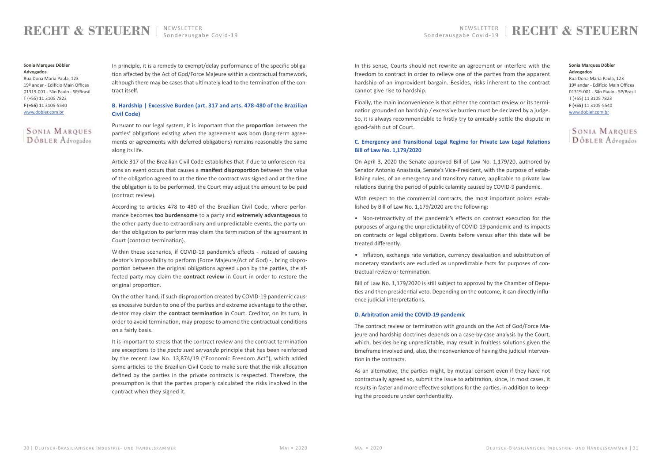## **RECHT & STEUERN**

In principle, it is a remedy to exempt/delay performance of the specific obligation affected by the Act of God/Force Majeure within a contractual framework, although there may be cases that ultimately lead to the termination of the contract itself.

### **B. Hardship | Excessive Burden (art. 317 and arts. 478-480 of the Brazilian Civil Code)**

Pursuant to our legal system, it is important that the **proportion** between the parties' obligations existing when the agreement was born (long-term agreements or agreements with deferred obligations) remains reasonably the same along its life.

Article 317 of the Brazilian Civil Code establishes that if due to unforeseen reasons an event occurs that causes a **manifest disproportion** between the value of the obligation agreed to at the time the contract was signed and at the time the obligation is to be performed, the Court may adjust the amount to be paid (contract review).

According to articles 478 to 480 of the Brazilian Civil Code, where performance becomes **too burdensome** to a party and **extremely advantageous** to the other party due to extraordinary and unpredictable events, the party under the obligation to perform may claim the termination of the agreement in Court (contract termination).

Within these scenarios, if COVID-19 pandemic's effects - instead of causing debtor's impossibility to perform (Force Majeure/Act of God) -, bring disproportion between the original obligations agreed upon by the parties, the affected party may claim the **contract review** in Court in order to restore the original proportion.

On the other hand, if such disproportion created by COVID-19 pandemic causes excessive burden to one of the parties and extreme advantage to the other, debtor may claim the **contract termination** in Court. Creditor, on its turn, in order to avoid termination, may propose to amend the contractual conditions on a fairly basis.

It is important to stress that the contract review and the contract termination are exceptions to the *pacta sunt servanda* principle that has been reinforced by the recent Law No. 13,874/19 ("Economic Freedom Act"), which added some articles to the Brazilian Civil Code to make sure that the risk allocation defined by the parties in the private contracts is respected. Therefore, the presumption is that the parties properly calculated the risks involved in the contract when they signed it.

### **Sonia Marques Döbler Advogados** Rua Dona Maria Paula, 123

19º andar - Edifício Main Offices 01319-001 - São Paulo - SP/Brasil **T** (+55) 11 3105 7823 **F (+55)** 11 3105-5540 [www.dobler.com.br](http://www.dobler.com.br/)



In this sense, Courts should not rewrite an agreement or interfere with the freedom to contract in order to relieve one of the parties from the apparent hardship of an improvident bargain. Besides, risks inherent to the contract cannot give rise to hardship.

Finally, the main inconvenience is that either the contract review or its termination grounded on hardship / excessive burden must be declared by a judge. So, it is always recommendable to firstly try to amicably settle the dispute in good-faith out of Court.

### **C. Emergency and Transitional Legal Regime for Private Law Legal Relations Bill of Law No. 1,179/2020**

On April 3, 2020 the Senate approved Bill of Law No. 1,179/20, authored by Senator Antonio Anastasia, Senate's Vice-President, with the purpose of establishing rules, of an emergency and transitory nature, applicable to private law relations during the period of public calamity caused by COVID-9 pandemic.

With respect to the commercial contracts, the most important points established by Bill of Law No. 1,179/2020 are the following:

• Non-retroactivity of the pandemic's effects on contract execution for the purposes of arguing the unpredictability of COVID-19 pandemic and its impacts on contracts or legal obligations. Events before versus after this date will be treated differently.

• Inflation, exchange rate variation, currency devaluation and substitution of monetary standards are excluded as unpredictable facts for purposes of contractual review or termination.

Bill of Law No. 1,179/2020 is still subject to approval by the Chamber of Deputies and then presidential veto. Depending on the outcome, it can directly influence judicial interpretations.

#### **D. Arbitration amid the COVID-19 pandemic**

The contract review or termination with grounds on the Act of God/Force Majeure and hardship doctrines depends on a case-by-case analysis by the Court, which, besides being unpredictable, may result in fruitless solutions given the timeframe involved and, also, the inconvenience of having the judicial intervention in the contracts.

As an alternative, the parties might, by mutual consent even if they have not contractually agreed so, submit the issue to arbitration, since, in most cases, it results in faster and more effective solutions for the parties, in addition to keeping the procedure under confidentiality.

#### **Sonia Marques Döbler Advogados**

Rua Dona Maria Paula, 123 19º andar - Edifício Main Offices 01319-001 - São Paulo - SP/Brasil **T** (+55) 11 3105 7823 **F (+55)** 11 3105-5540 [www.dobler.com.br](http://www.dobler.com.br/)

## **SONIA MARQUES DÖBLER** Advogados